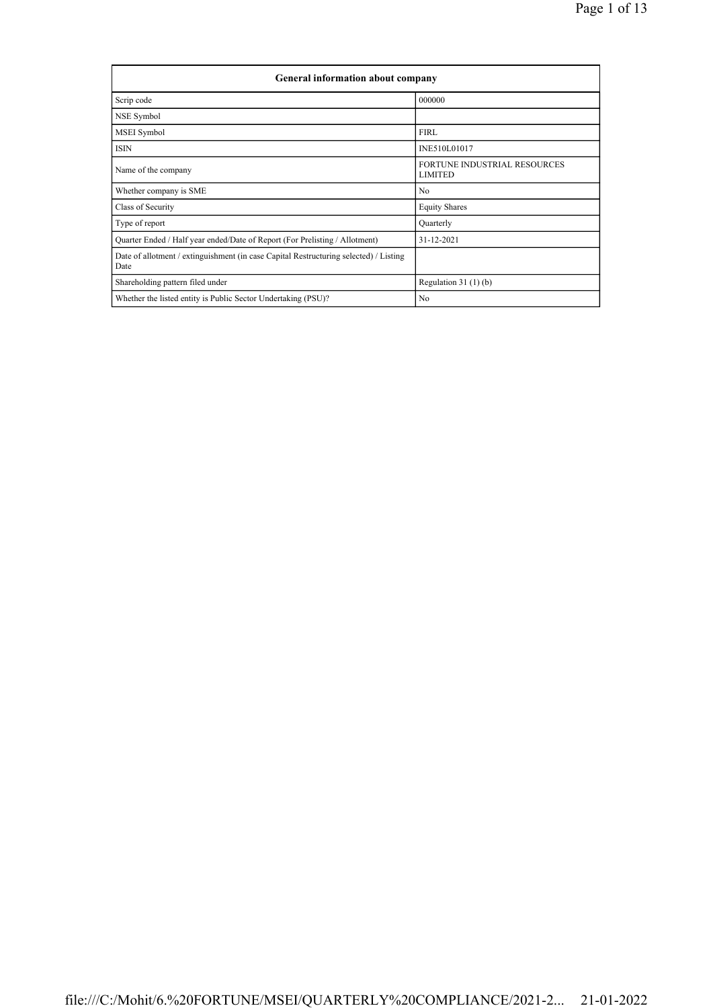| <b>General information about company</b>                                                      |                                                       |
|-----------------------------------------------------------------------------------------------|-------------------------------------------------------|
| Scrip code                                                                                    | 000000                                                |
| NSE Symbol                                                                                    |                                                       |
| MSEI Symbol                                                                                   | FIRL                                                  |
| <b>ISIN</b>                                                                                   | INE510L01017                                          |
| Name of the company                                                                           | <b>FORTUNE INDUSTRIAL RESOURCES</b><br><b>LIMITED</b> |
| Whether company is SME                                                                        | No                                                    |
| Class of Security                                                                             | <b>Equity Shares</b>                                  |
| Type of report                                                                                | Quarterly                                             |
| Quarter Ended / Half year ended/Date of Report (For Prelisting / Allotment)                   | 31-12-2021                                            |
| Date of allotment / extinguishment (in case Capital Restructuring selected) / Listing<br>Date |                                                       |
| Shareholding pattern filed under                                                              | Regulation $31(1)(b)$                                 |
| Whether the listed entity is Public Sector Undertaking (PSU)?                                 | No                                                    |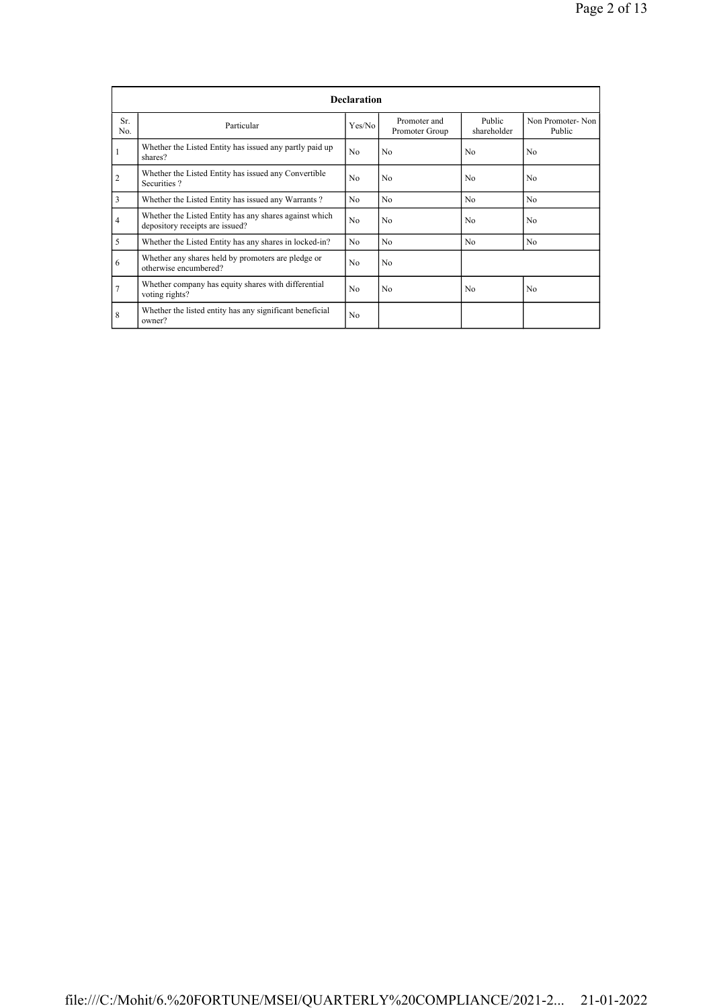|                       |                                                                                           | <b>Declaration</b> |                                |                       |                            |
|-----------------------|-------------------------------------------------------------------------------------------|--------------------|--------------------------------|-----------------------|----------------------------|
| Sr.<br>N <sub>0</sub> | Particular                                                                                | Yes/No             | Promoter and<br>Promoter Group | Public<br>shareholder | Non Promoter-Non<br>Public |
| $\mathbf{1}$          | Whether the Listed Entity has issued any partly paid up<br>shares?                        | No                 | No                             | No                    | No                         |
| $\overline{2}$        | Whether the Listed Entity has issued any Convertible<br>Securities?                       | No                 | N <sub>0</sub>                 | N <sub>0</sub>        | No                         |
| 3                     | Whether the Listed Entity has issued any Warrants?                                        | No.                | N <sub>0</sub>                 | N <sub>0</sub>        | N <sub>0</sub>             |
| $\overline{4}$        | Whether the Listed Entity has any shares against which<br>depository receipts are issued? | No                 | No                             | N <sub>0</sub>        | N <sub>0</sub>             |
| 5                     | Whether the Listed Entity has any shares in locked-in?                                    | No.                | N <sub>0</sub>                 | N <sub>0</sub>        | No                         |
| 6                     | Whether any shares held by promoters are pledge or<br>otherwise encumbered?               | No.                | N <sub>0</sub>                 |                       |                            |
| $\overline{7}$        | Whether company has equity shares with differential<br>voting rights?                     | No.                | N <sub>0</sub>                 | No                    | N <sub>0</sub>             |
| 8                     | Whether the listed entity has any significant beneficial<br>owner?                        | No                 |                                |                       |                            |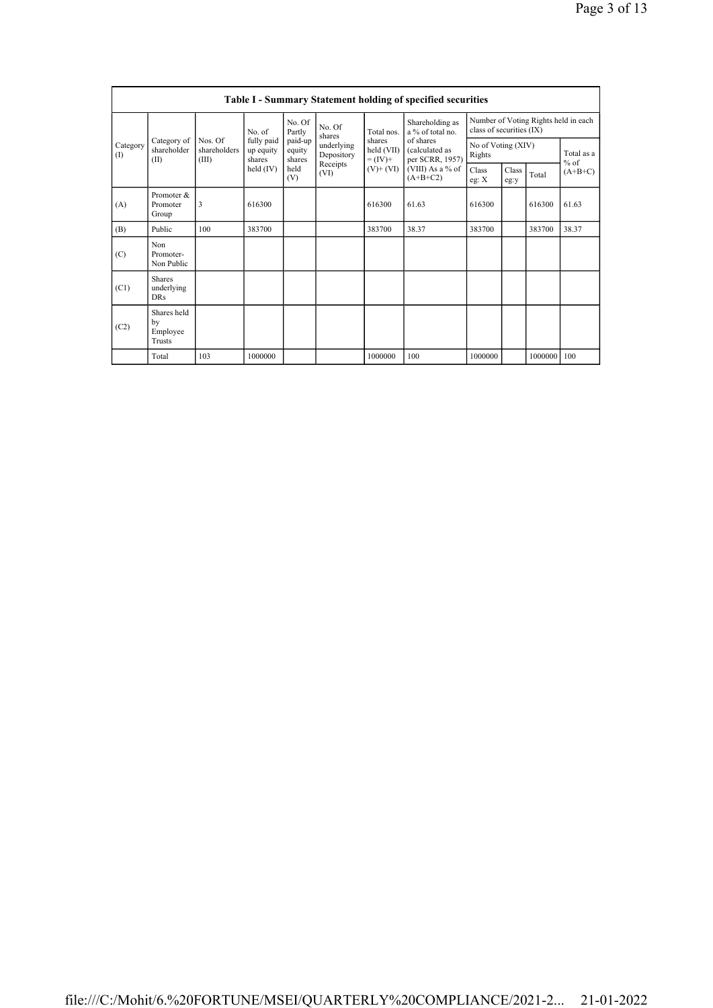|                 |                                                |                                  |                                   |                             |                          |                                    | Table I - Summary Statement holding of specified securities |                              |               |             |                                      |
|-----------------|------------------------------------------------|----------------------------------|-----------------------------------|-----------------------------|--------------------------|------------------------------------|-------------------------------------------------------------|------------------------------|---------------|-------------|--------------------------------------|
|                 |                                                |                                  | No. of                            | No. Of<br>Partly            | No. Of<br>shares         | Total nos.                         | Shareholding as<br>a % of total no.                         | class of securities (IX)     |               |             | Number of Voting Rights held in each |
| Category<br>(I) | Category of<br>shareholder<br>(II)             | Nos. Of<br>shareholders<br>(III) | fully paid<br>up equity<br>shares | paid-up<br>equity<br>shares | underlying<br>Depository | shares<br>held (VII)<br>$= (IV) +$ | of shares<br>(calculated as<br>per SCRR, 1957)              | No of Voting (XIV)<br>Rights |               |             | Total as a<br>$%$ of                 |
|                 |                                                |                                  | held (IV)                         | held<br>(V)                 | Receipts<br>(VI)         | $(V)$ + $(VI)$                     | (VIII) As a % of<br>$(A+B+C2)$                              | Class<br>eg: X               | Class<br>eg:y | Total       | $(A+B+C)$                            |
| (A)             | Promoter &<br>Promoter<br>Group                | 3                                | 616300                            |                             |                          | 616300                             | 61.63                                                       | 616300                       |               | 616300      | 61.63                                |
| (B)             | Public                                         | 100                              | 383700                            |                             |                          | 383700                             | 38.37                                                       | 383700                       |               | 383700      | 38.37                                |
| (C)             | Non<br>Promoter-<br>Non Public                 |                                  |                                   |                             |                          |                                    |                                                             |                              |               |             |                                      |
| (C1)            | <b>Shares</b><br>underlying<br><b>DRs</b>      |                                  |                                   |                             |                          |                                    |                                                             |                              |               |             |                                      |
| (C2)            | Shares held<br>by<br>Employee<br><b>Trusts</b> |                                  |                                   |                             |                          |                                    |                                                             |                              |               |             |                                      |
|                 | Total                                          | 103                              | 1000000                           |                             |                          | 1000000                            | 100                                                         | 1000000                      |               | 1000000 100 |                                      |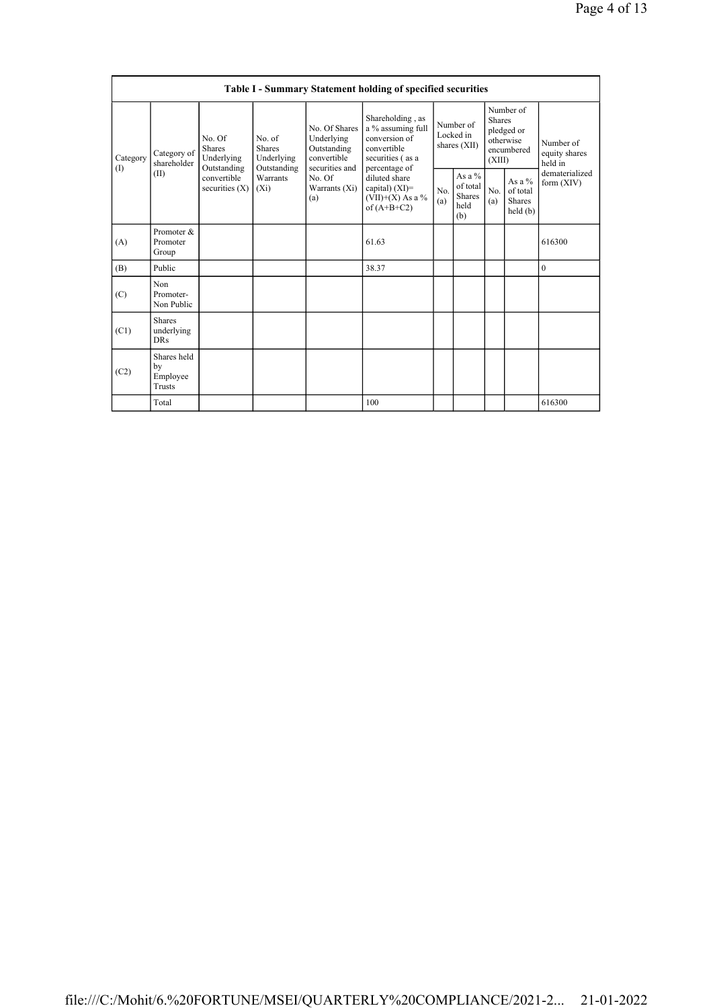|                 |                                                |                                                      |                                                      |                                                                             | Table I - Summary Statement holding of specified securities                                                |            |                                                    |                         |                                                    |                                       |
|-----------------|------------------------------------------------|------------------------------------------------------|------------------------------------------------------|-----------------------------------------------------------------------------|------------------------------------------------------------------------------------------------------------|------------|----------------------------------------------------|-------------------------|----------------------------------------------------|---------------------------------------|
| Category<br>(I) | Category of<br>shareholder                     | No. Of<br><b>Shares</b><br>Underlying<br>Outstanding | No. of<br><b>Shares</b><br>Underlying<br>Outstanding | No. Of Shares<br>Underlying<br>Outstanding<br>convertible<br>securities and | Shareholding, as<br>a % assuming full<br>conversion of<br>convertible<br>securities (as a<br>percentage of |            | Number of<br>Locked in<br>shares (XII)             | <b>Shares</b><br>(XIII) | Number of<br>pledged or<br>otherwise<br>encumbered | Number of<br>equity shares<br>held in |
|                 | (II)                                           | convertible<br>securities $(X)$                      | Warrants<br>$(X_i)$                                  | No. Of<br>Warrants $(X_i)$<br>(a)                                           | diluted share<br>capital) $(XI)=$<br>$(VII)+(X)$ As a %<br>of $(A+B+C2)$                                   | No.<br>(a) | As a %<br>of total<br><b>Shares</b><br>held<br>(b) | No.<br>(a)              | As a %<br>of total<br><b>Shares</b><br>held(b)     | dematerialized<br>form $(XIV)$        |
| (A)             | Promoter &<br>Promoter<br>Group                |                                                      |                                                      |                                                                             | 61.63                                                                                                      |            |                                                    |                         |                                                    | 616300                                |
| (B)             | Public                                         |                                                      |                                                      |                                                                             | 38.37                                                                                                      |            |                                                    |                         |                                                    | $\boldsymbol{0}$                      |
| (C)             | Non<br>Promoter-<br>Non Public                 |                                                      |                                                      |                                                                             |                                                                                                            |            |                                                    |                         |                                                    |                                       |
| (C1)            | <b>Shares</b><br>underlying<br><b>DRs</b>      |                                                      |                                                      |                                                                             |                                                                                                            |            |                                                    |                         |                                                    |                                       |
| (C2)            | Shares held<br>by<br>Employee<br><b>Trusts</b> |                                                      |                                                      |                                                                             |                                                                                                            |            |                                                    |                         |                                                    |                                       |
|                 | Total                                          |                                                      |                                                      |                                                                             | 100                                                                                                        |            |                                                    |                         |                                                    | 616300                                |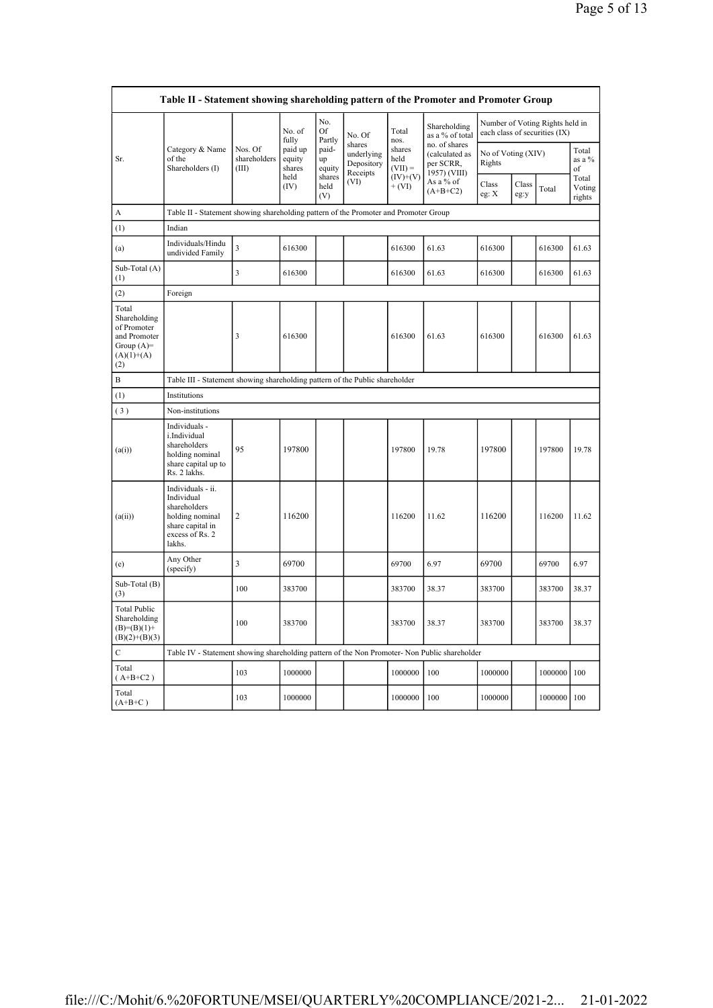|                                                                                             | Table II - Statement showing shareholding pattern of the Promoter and Promoter Group                                |                                  |                             |                       |                                                |                             |                                                              |                                                                  |               |         |                           |
|---------------------------------------------------------------------------------------------|---------------------------------------------------------------------------------------------------------------------|----------------------------------|-----------------------------|-----------------------|------------------------------------------------|-----------------------------|--------------------------------------------------------------|------------------------------------------------------------------|---------------|---------|---------------------------|
|                                                                                             |                                                                                                                     |                                  | No. of<br>fully             | No.<br>Of<br>Partly   | No. Of                                         | Total<br>nos.               | Shareholding<br>as a % of total                              | Number of Voting Rights held in<br>each class of securities (IX) |               |         |                           |
| Sr.                                                                                         | Category & Name<br>of the<br>Shareholders (I)                                                                       | Nos. Of<br>shareholders<br>(III) | paid up<br>equity<br>shares | paid-<br>up<br>equity | shares<br>underlying<br>Depository<br>Receipts | shares<br>held<br>$(VII) =$ | no. of shares<br>(calculated as<br>per SCRR,<br>1957) (VIII) | No of Voting (XIV)<br>Rights                                     |               |         | Total<br>as a %<br>of     |
|                                                                                             |                                                                                                                     |                                  | held<br>(IV)                | shares<br>held<br>(V) | (VI)                                           | $(IV)+(V)$<br>$+ (VI)$      | As a % of<br>$(A+B+C2)$                                      | Class<br>eg: X                                                   | Class<br>eg:y | Total   | Total<br>Voting<br>rights |
| А                                                                                           | Table II - Statement showing shareholding pattern of the Promoter and Promoter Group                                |                                  |                             |                       |                                                |                             |                                                              |                                                                  |               |         |                           |
| (1)                                                                                         | Indian                                                                                                              |                                  |                             |                       |                                                |                             |                                                              |                                                                  |               |         |                           |
| (a)                                                                                         | Individuals/Hindu<br>undivided Family                                                                               | $\overline{\mathbf{3}}$          | 616300                      |                       |                                                | 616300                      | 61.63                                                        | 616300                                                           |               | 616300  | 61.63                     |
| Sub-Total (A)<br>(1)                                                                        |                                                                                                                     | 3                                | 616300                      |                       |                                                | 616300                      | 61.63                                                        | 616300                                                           |               | 616300  | 61.63                     |
| (2)                                                                                         | Foreign                                                                                                             |                                  |                             |                       |                                                |                             |                                                              |                                                                  |               |         |                           |
| Total<br>Shareholding<br>of Promoter<br>and Promoter<br>Group $(A)=$<br>$(A)(1)+(A)$<br>(2) |                                                                                                                     | 3                                | 616300                      |                       |                                                | 616300                      | 61.63                                                        | 616300                                                           |               | 616300  | 61.63                     |
| B                                                                                           | Table III - Statement showing shareholding pattern of the Public shareholder                                        |                                  |                             |                       |                                                |                             |                                                              |                                                                  |               |         |                           |
| (1)                                                                                         | Institutions                                                                                                        |                                  |                             |                       |                                                |                             |                                                              |                                                                  |               |         |                           |
| (3)                                                                                         | Non-institutions                                                                                                    |                                  |                             |                       |                                                |                             |                                                              |                                                                  |               |         |                           |
| (a(i))                                                                                      | Individuals -<br>i.Individual<br>shareholders<br>holding nominal<br>share capital up to<br>Rs. 2 lakhs.             | 95                               | 197800                      |                       |                                                | 197800                      | 19.78                                                        | 197800                                                           |               | 197800  | 19.78                     |
| (a(ii))                                                                                     | Individuals - ii.<br>Individual<br>shareholders<br>holding nominal<br>share capital in<br>excess of Rs. 2<br>lakhs. | $\overline{c}$                   | 116200                      |                       |                                                | 116200                      | 11.62                                                        | 116200                                                           |               | 116200  | 11.62                     |
| (e)                                                                                         | Any Other<br>(specify)                                                                                              | 3                                | 69700                       |                       |                                                | 69700                       | 6.97                                                         | 69700                                                            |               | 69700   | 6.97                      |
| Sub-Total (B)<br>(3)                                                                        |                                                                                                                     | 100                              | 383700                      |                       |                                                | 383700                      | 38.37                                                        | 383700                                                           |               | 383700  | 38.37                     |
| <b>Total Public</b><br>Shareholding<br>$(B)=(B)(1)+$<br>$(B)(2)+(B)(3)$                     |                                                                                                                     | 100                              | 383700                      |                       |                                                | 383700                      | 38.37                                                        | 383700                                                           |               | 383700  | 38.37                     |
| C                                                                                           | Table IV - Statement showing shareholding pattern of the Non Promoter- Non Public shareholder                       |                                  |                             |                       |                                                |                             |                                                              |                                                                  |               |         |                           |
| Total<br>$(A+B+C2)$                                                                         |                                                                                                                     | 103                              | 1000000                     |                       |                                                | 1000000                     | 100                                                          | 1000000                                                          |               | 1000000 | 100                       |
| Total<br>$(A+B+C)$                                                                          |                                                                                                                     | 103                              | 1000000                     |                       |                                                | 1000000                     | 100                                                          | 1000000                                                          |               | 1000000 | 100                       |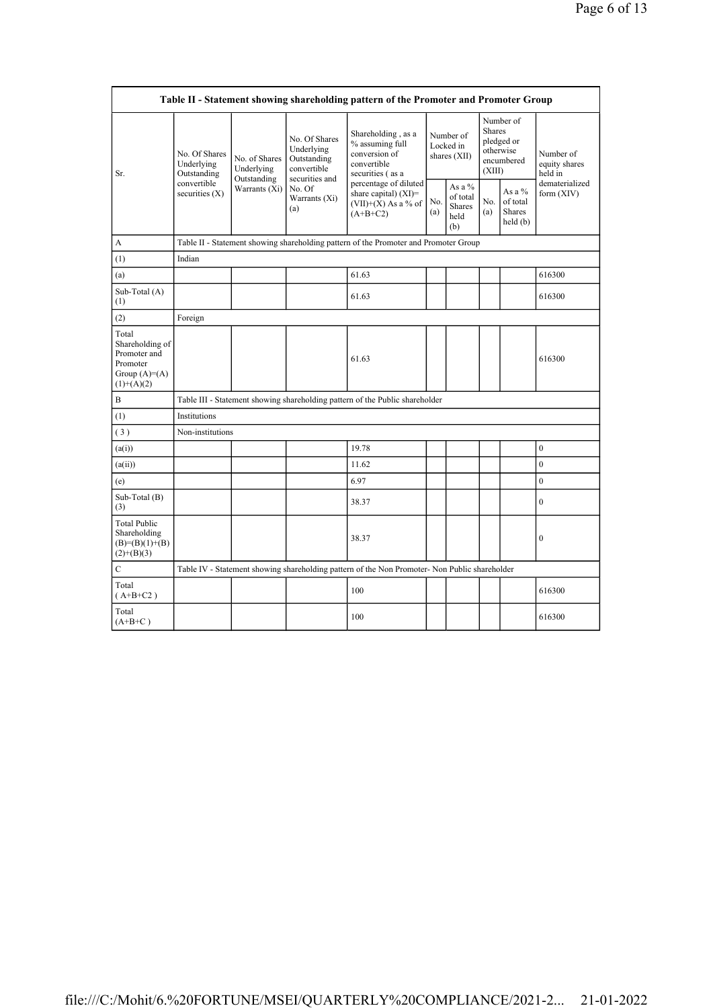|                                                                                        |                                            |                                            |                                                                             | Table II - Statement showing shareholding pattern of the Promoter and Promoter Group          |            |                                                    |                         |                                                         |                                       |
|----------------------------------------------------------------------------------------|--------------------------------------------|--------------------------------------------|-----------------------------------------------------------------------------|-----------------------------------------------------------------------------------------------|------------|----------------------------------------------------|-------------------------|---------------------------------------------------------|---------------------------------------|
| Sr.                                                                                    | No. Of Shares<br>Underlying<br>Outstanding | No. of Shares<br>Underlying<br>Outstanding | No. Of Shares<br>Underlying<br>Outstanding<br>convertible<br>securities and | Shareholding, as a<br>% assuming full<br>conversion of<br>convertible<br>securities (as a     |            | Number of<br>Locked in<br>shares (XII)             | <b>Shares</b><br>(XIII) | Number of<br>pledged or<br>otherwise<br>encumbered      | Number of<br>equity shares<br>held in |
|                                                                                        | convertible<br>securities $(X)$            | Warrants (Xi)                              | No. Of<br>Warrants (Xi)<br>(a)                                              | percentage of diluted<br>share capital) $(XI)$ =<br>$(VII)+(X)$ As a % of<br>$(A+B+C2)$       | No.<br>(a) | As a %<br>of total<br><b>Shares</b><br>held<br>(b) | No.<br>(a)              | As a %<br>of total<br>Shares<br>$\text{held}(\text{b})$ | dematerialized<br>form $(XIV)$        |
| A                                                                                      |                                            |                                            |                                                                             | Table II - Statement showing shareholding pattern of the Promoter and Promoter Group          |            |                                                    |                         |                                                         |                                       |
| (1)                                                                                    | Indian                                     |                                            |                                                                             |                                                                                               |            |                                                    |                         |                                                         |                                       |
| (a)                                                                                    |                                            |                                            |                                                                             | 61.63                                                                                         |            |                                                    |                         |                                                         | 616300                                |
| Sub-Total (A)<br>(1)                                                                   |                                            |                                            |                                                                             | 61.63                                                                                         |            |                                                    |                         |                                                         | 616300                                |
| (2)                                                                                    | Foreign                                    |                                            |                                                                             |                                                                                               |            |                                                    |                         |                                                         |                                       |
| Total<br>Shareholding of<br>Promoter and<br>Promoter<br>Group $(A)=A)$<br>$(1)+(A)(2)$ |                                            |                                            |                                                                             | 61.63                                                                                         |            |                                                    |                         |                                                         | 616300                                |
| B                                                                                      |                                            |                                            |                                                                             | Table III - Statement showing shareholding pattern of the Public shareholder                  |            |                                                    |                         |                                                         |                                       |
| (1)                                                                                    | Institutions                               |                                            |                                                                             |                                                                                               |            |                                                    |                         |                                                         |                                       |
| (3)                                                                                    | Non-institutions                           |                                            |                                                                             |                                                                                               |            |                                                    |                         |                                                         |                                       |
| (a(i))                                                                                 |                                            |                                            |                                                                             | 19.78                                                                                         |            |                                                    |                         |                                                         | $\mathbf{0}$                          |
| (a(ii))                                                                                |                                            |                                            |                                                                             | 11.62                                                                                         |            |                                                    |                         |                                                         | $\boldsymbol{0}$                      |
| (e)                                                                                    |                                            |                                            |                                                                             | 6.97                                                                                          |            |                                                    |                         |                                                         | $\mathbf{0}$                          |
| Sub-Total (B)<br>(3)                                                                   |                                            |                                            |                                                                             | 38.37                                                                                         |            |                                                    |                         |                                                         | $\mathbf{0}$                          |
| <b>Total Public</b><br>Shareholding<br>$(B)= (B)(1)+(B)$<br>$(2)+(B)(3)$               |                                            |                                            |                                                                             | 38.37                                                                                         |            |                                                    |                         |                                                         | $\mathbf{0}$                          |
| $\mathbf C$                                                                            |                                            |                                            |                                                                             | Table IV - Statement showing shareholding pattern of the Non Promoter- Non Public shareholder |            |                                                    |                         |                                                         |                                       |
| Total<br>$(A+B+C2)$                                                                    |                                            |                                            |                                                                             | 100                                                                                           |            |                                                    |                         |                                                         | 616300                                |
| Total<br>$(A+B+C)$                                                                     |                                            |                                            |                                                                             | 100                                                                                           |            |                                                    |                         |                                                         | 616300                                |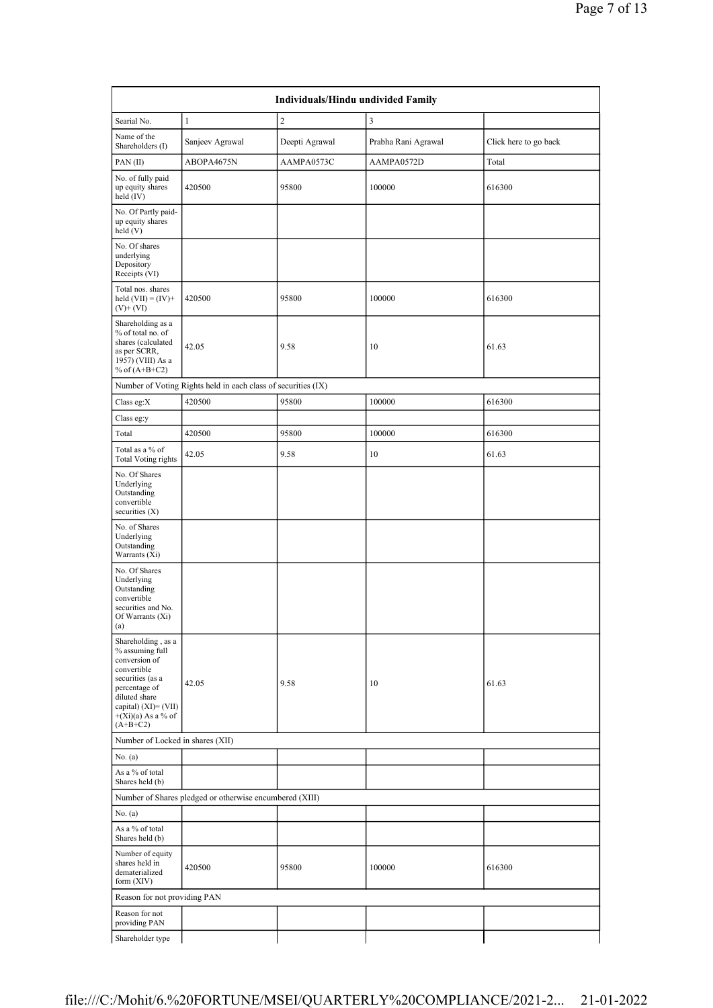|                                                                                                                                                                                           | <b>Individuals/Hindu undivided Family</b>                     |                |                     |                       |  |  |  |  |  |
|-------------------------------------------------------------------------------------------------------------------------------------------------------------------------------------------|---------------------------------------------------------------|----------------|---------------------|-----------------------|--|--|--|--|--|
| Searial No.                                                                                                                                                                               | $\mathbf{1}$                                                  | $\overline{c}$ | 3                   |                       |  |  |  |  |  |
| Name of the<br>Shareholders (I)                                                                                                                                                           | Sanjeev Agrawal                                               | Deepti Agrawal | Prabha Rani Agrawal | Click here to go back |  |  |  |  |  |
| PAN(II)                                                                                                                                                                                   | ABOPA4675N                                                    | AAMPA0573C     | AAMPA0572D          | Total                 |  |  |  |  |  |
| No. of fully paid<br>up equity shares<br>held (IV)                                                                                                                                        | 420500                                                        | 95800          | 100000              | 616300                |  |  |  |  |  |
| No. Of Partly paid-<br>up equity shares<br>held(V)                                                                                                                                        |                                                               |                |                     |                       |  |  |  |  |  |
| No. Of shares<br>underlying<br>Depository<br>Receipts (VI)                                                                                                                                |                                                               |                |                     |                       |  |  |  |  |  |
| Total nos. shares<br>held $(VII) = (IV) +$<br>$(V)$ + $(VI)$                                                                                                                              | 420500                                                        | 95800          | 100000              | 616300                |  |  |  |  |  |
| Shareholding as a<br>% of total no. of<br>shares (calculated<br>as per SCRR,<br>1957) (VIII) As a<br>% of $(A+B+C2)$                                                                      | 42.05                                                         | 9.58           | 10                  | 61.63                 |  |  |  |  |  |
|                                                                                                                                                                                           | Number of Voting Rights held in each class of securities (IX) |                |                     |                       |  |  |  |  |  |
| Class eg:X                                                                                                                                                                                | 420500                                                        | 95800          | 100000              | 616300                |  |  |  |  |  |
| Class eg:y                                                                                                                                                                                |                                                               |                |                     |                       |  |  |  |  |  |
| Total                                                                                                                                                                                     | 420500                                                        | 95800          | 100000              | 616300                |  |  |  |  |  |
| Total as a % of<br><b>Total Voting rights</b>                                                                                                                                             | 42.05                                                         | 9.58           | 10                  | 61.63                 |  |  |  |  |  |
| No. Of Shares<br>Underlying<br>Outstanding<br>convertible<br>securities $(X)$                                                                                                             |                                                               |                |                     |                       |  |  |  |  |  |
| No. of Shares<br>Underlying<br>Outstanding<br>Warrants (Xi)                                                                                                                               |                                                               |                |                     |                       |  |  |  |  |  |
| No. Of Shares<br>Underlying<br>Outstanding<br>convertible<br>securities and No.<br>Of Warrants (Xi)<br>(a)                                                                                |                                                               |                |                     |                       |  |  |  |  |  |
| Shareholding, as a<br>% assuming full<br>conversion of<br>convertible<br>securities (as a<br>percentage of<br>diluted share<br>capital) (XI)= (VII)<br>$+(Xi)(a)$ As a % of<br>$(A+B+C2)$ | 42.05                                                         | 9.58           | 10                  | 61.63                 |  |  |  |  |  |
| Number of Locked in shares (XII)                                                                                                                                                          |                                                               |                |                     |                       |  |  |  |  |  |
| No. (a)                                                                                                                                                                                   |                                                               |                |                     |                       |  |  |  |  |  |
| As a % of total<br>Shares held (b)                                                                                                                                                        |                                                               |                |                     |                       |  |  |  |  |  |
|                                                                                                                                                                                           | Number of Shares pledged or otherwise encumbered (XIII)       |                |                     |                       |  |  |  |  |  |
| No. (a)                                                                                                                                                                                   |                                                               |                |                     |                       |  |  |  |  |  |
| As a % of total<br>Shares held (b)                                                                                                                                                        |                                                               |                |                     |                       |  |  |  |  |  |
| Number of equity<br>shares held in<br>dematerialized<br>form $(XIV)$                                                                                                                      | 420500                                                        | 95800          | 100000              | 616300                |  |  |  |  |  |
| Reason for not providing PAN                                                                                                                                                              |                                                               |                |                     |                       |  |  |  |  |  |
| Reason for not<br>providing PAN                                                                                                                                                           |                                                               |                |                     |                       |  |  |  |  |  |
| Shareholder type                                                                                                                                                                          |                                                               |                |                     |                       |  |  |  |  |  |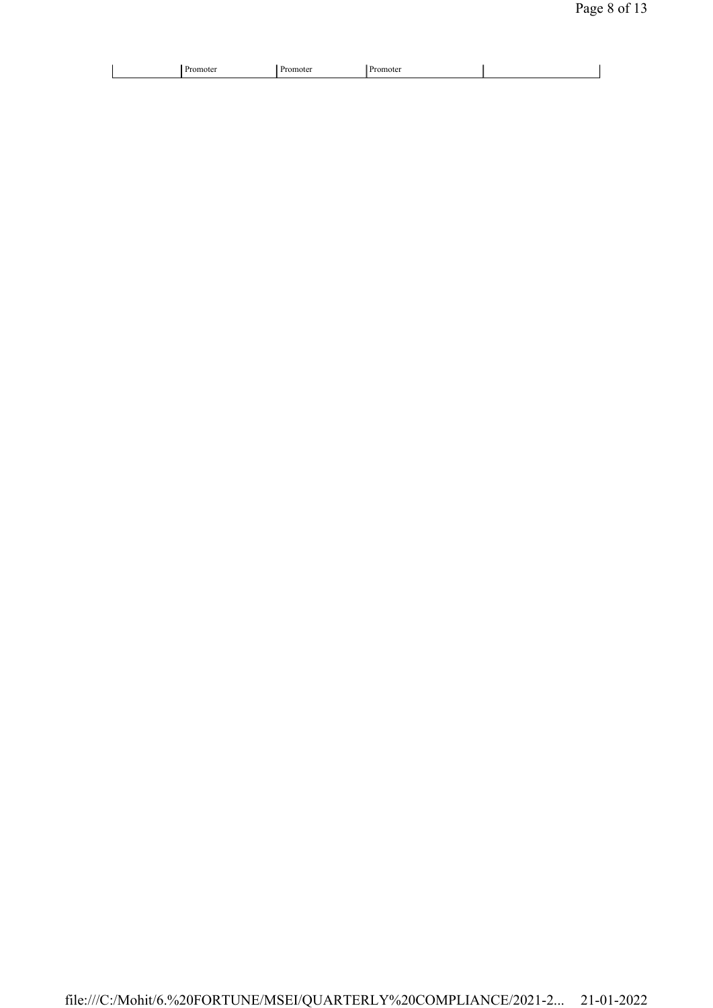|--|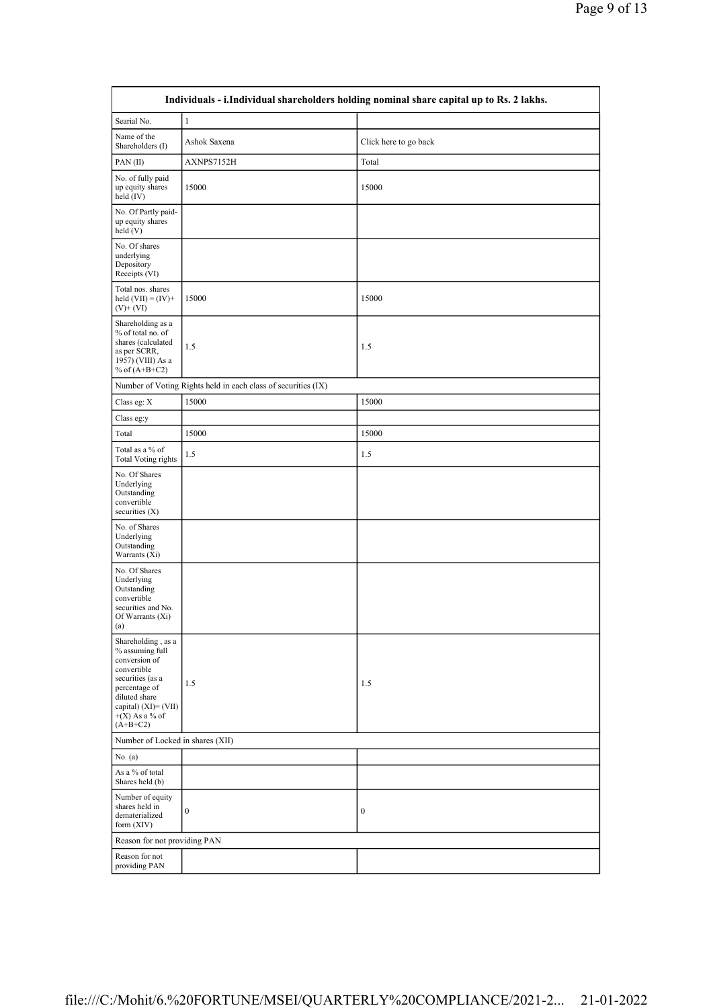|                                                                                                                                                                                          | Individuals - i.Individual shareholders holding nominal share capital up to Rs. 2 lakhs. |                       |  |  |  |  |
|------------------------------------------------------------------------------------------------------------------------------------------------------------------------------------------|------------------------------------------------------------------------------------------|-----------------------|--|--|--|--|
| Searial No.                                                                                                                                                                              | $\mathbf{1}$                                                                             |                       |  |  |  |  |
| Name of the<br>Shareholders (I)                                                                                                                                                          | Ashok Saxena                                                                             | Click here to go back |  |  |  |  |
| PAN(II)                                                                                                                                                                                  | AXNPS7152H                                                                               | Total                 |  |  |  |  |
| No. of fully paid<br>up equity shares<br>held $(IV)$                                                                                                                                     | 15000                                                                                    | 15000                 |  |  |  |  |
| No. Of Partly paid-<br>up equity shares<br>held(V)                                                                                                                                       |                                                                                          |                       |  |  |  |  |
| No. Of shares<br>underlying<br>Depository<br>Receipts (VI)                                                                                                                               |                                                                                          |                       |  |  |  |  |
| Total nos. shares<br>held $(VII) = (IV) +$<br>$(V)$ + $(VI)$                                                                                                                             | 15000                                                                                    | 15000                 |  |  |  |  |
| Shareholding as a<br>% of total no. of<br>shares (calculated<br>as per SCRR,<br>1957) (VIII) As a<br>% of $(A+B+C2)$                                                                     | 1.5                                                                                      | 1.5                   |  |  |  |  |
|                                                                                                                                                                                          | Number of Voting Rights held in each class of securities (IX)                            |                       |  |  |  |  |
| Class eg: X                                                                                                                                                                              | 15000                                                                                    | 15000                 |  |  |  |  |
| Class eg:y                                                                                                                                                                               |                                                                                          |                       |  |  |  |  |
| Total                                                                                                                                                                                    | 15000                                                                                    | 15000                 |  |  |  |  |
| Total as a % of<br><b>Total Voting rights</b>                                                                                                                                            | 1.5                                                                                      | 1.5                   |  |  |  |  |
| No. Of Shares<br>Underlying<br>Outstanding<br>convertible<br>securities $(X)$                                                                                                            |                                                                                          |                       |  |  |  |  |
| No. of Shares<br>Underlying<br>Outstanding<br>Warrants (Xi)                                                                                                                              |                                                                                          |                       |  |  |  |  |
| No. Of Shares<br>Underlying<br>Outstanding<br>convertible<br>securities and No.<br>Of Warrants $(X_i)$<br>$\left( a\right)$                                                              |                                                                                          |                       |  |  |  |  |
| Shareholding, as a<br>$\%$ assuming full<br>conversion of<br>convertible<br>securities (as a<br>percentage of<br>diluted share<br>capital) (XI)= (VII)<br>$+(X)$ As a % of<br>$(A+B+C2)$ | 1.5                                                                                      | 1.5                   |  |  |  |  |
| Number of Locked in shares (XII)                                                                                                                                                         |                                                                                          |                       |  |  |  |  |
| No. (a)                                                                                                                                                                                  |                                                                                          |                       |  |  |  |  |
| As a % of total<br>Shares held (b)                                                                                                                                                       |                                                                                          |                       |  |  |  |  |
| Number of equity<br>shares held in<br>dematerialized<br>form $(XIV)$                                                                                                                     | $\boldsymbol{0}$                                                                         | $\boldsymbol{0}$      |  |  |  |  |
| Reason for not providing PAN                                                                                                                                                             |                                                                                          |                       |  |  |  |  |
| Reason for not<br>providing PAN                                                                                                                                                          |                                                                                          |                       |  |  |  |  |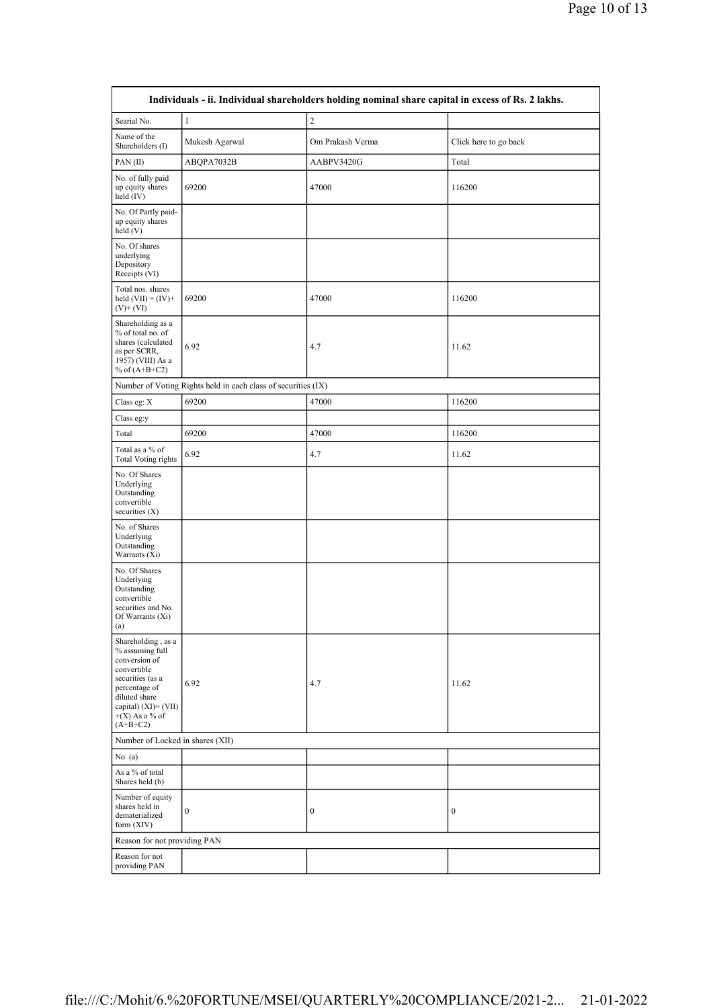|                                                                                                                                                                                          |                                                               | Individuals - ii. Individual shareholders holding nominal share capital in excess of Rs. 2 lakhs. |                       |
|------------------------------------------------------------------------------------------------------------------------------------------------------------------------------------------|---------------------------------------------------------------|---------------------------------------------------------------------------------------------------|-----------------------|
| Searial No.                                                                                                                                                                              | $\mathbf{1}$                                                  | $\overline{2}$                                                                                    |                       |
| Name of the<br>Shareholders (I)                                                                                                                                                          | Mukesh Agarwal                                                | Om Prakash Verma                                                                                  | Click here to go back |
| PAN(II)                                                                                                                                                                                  | ABQPA7032B                                                    | AABPV3420G                                                                                        | Total                 |
| No. of fully paid<br>up equity shares<br>held $(IV)$                                                                                                                                     | 69200                                                         | 47000                                                                                             | 116200                |
| No. Of Partly paid-<br>up equity shares<br>held(V)                                                                                                                                       |                                                               |                                                                                                   |                       |
| No. Of shares<br>underlying<br>Depository<br>Receipts (VI)                                                                                                                               |                                                               |                                                                                                   |                       |
| Total nos. shares<br>held $(VII) = (IV) +$<br>$(V)$ + $(VI)$                                                                                                                             | 69200                                                         | 47000                                                                                             | 116200                |
| Shareholding as a<br>% of total no. of<br>shares (calculated<br>as per SCRR,<br>1957) (VIII) As a<br>% of $(A+B+C2)$                                                                     | 6.92                                                          | 4.7                                                                                               | 11.62                 |
|                                                                                                                                                                                          | Number of Voting Rights held in each class of securities (IX) |                                                                                                   |                       |
| Class eg: X                                                                                                                                                                              | 69200                                                         | 47000                                                                                             | 116200                |
| Class eg:y                                                                                                                                                                               |                                                               |                                                                                                   |                       |
| Total                                                                                                                                                                                    | 69200                                                         | 47000                                                                                             | 116200                |
| Total as a % of<br><b>Total Voting rights</b>                                                                                                                                            | 6.92                                                          | 4.7                                                                                               | 11.62                 |
| No. Of Shares<br>Underlying<br>Outstanding<br>convertible<br>securities $(X)$                                                                                                            |                                                               |                                                                                                   |                       |
| No. of Shares<br>Underlying<br>Outstanding<br>Warrants (Xi)                                                                                                                              |                                                               |                                                                                                   |                       |
| No. Of Shares<br>Underlying<br>Outstanding<br>convertible<br>securities and No.<br>Of Warrants (Xi)<br>(a)                                                                               |                                                               |                                                                                                   |                       |
| Shareholding, as a<br>% assuming full<br>conversion of<br>convertible<br>securities (as a<br>percentage of<br>diluted share<br>capital) $(XI) = (VII)$<br>$+(X)$ As a % of<br>$(A+B+C2)$ | 6.92                                                          | 4.7                                                                                               | 11.62                 |
| Number of Locked in shares (XII)                                                                                                                                                         |                                                               |                                                                                                   |                       |
| No. (a)                                                                                                                                                                                  |                                                               |                                                                                                   |                       |
| As a % of total<br>Shares held (b)                                                                                                                                                       |                                                               |                                                                                                   |                       |
| Number of equity<br>shares held in<br>dematerialized<br>form $(XIV)$                                                                                                                     | $\boldsymbol{0}$                                              | $\boldsymbol{0}$                                                                                  | $\boldsymbol{0}$      |
| Reason for not providing PAN                                                                                                                                                             |                                                               |                                                                                                   |                       |
| Reason for not<br>providing PAN                                                                                                                                                          |                                                               |                                                                                                   |                       |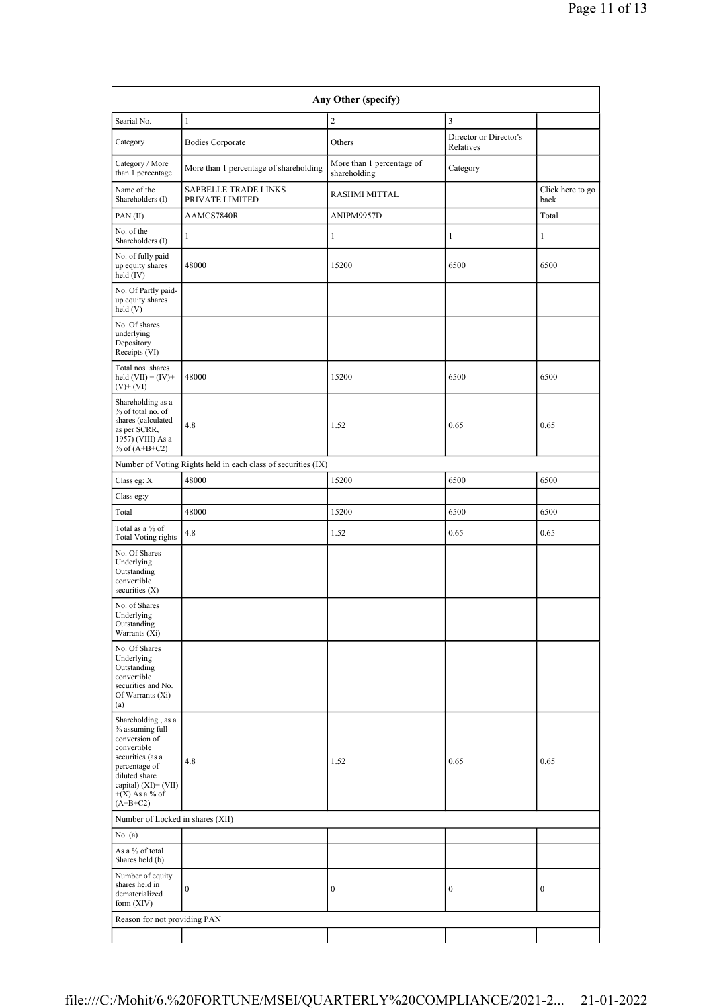| Any Other (specify)                                                                                                                                                                    |                                                               |                                           |                                     |                          |  |  |
|----------------------------------------------------------------------------------------------------------------------------------------------------------------------------------------|---------------------------------------------------------------|-------------------------------------------|-------------------------------------|--------------------------|--|--|
| Searial No.                                                                                                                                                                            | $\mathbf{1}$                                                  | $\sqrt{2}$                                | $\overline{\mathbf{3}}$             |                          |  |  |
| Category                                                                                                                                                                               | <b>Bodies Corporate</b>                                       | Others                                    | Director or Director's<br>Relatives |                          |  |  |
| Category / More<br>than 1 percentage                                                                                                                                                   | More than 1 percentage of shareholding                        | More than 1 percentage of<br>shareholding | Category                            |                          |  |  |
| Name of the<br>Shareholders (I)                                                                                                                                                        | <b>SAPBELLE TRADE LINKS</b><br>PRIVATE LIMITED                | RASHMI MITTAL                             |                                     | Click here to go<br>back |  |  |
| PAN(II)                                                                                                                                                                                | AAMCS7840R                                                    | ANIPM9957D                                |                                     | Total                    |  |  |
| No. of the<br>Shareholders (I)                                                                                                                                                         | 1                                                             | $\mathbf{1}$                              | $\mathbf{1}$                        | $\mathbf{1}$             |  |  |
| No. of fully paid<br>up equity shares<br>held (IV)                                                                                                                                     | 48000                                                         | 15200                                     | 6500                                | 6500                     |  |  |
| No. Of Partly paid-<br>up equity shares<br>held(V)                                                                                                                                     |                                                               |                                           |                                     |                          |  |  |
| No. Of shares<br>underlying<br>Depository<br>Receipts (VI)                                                                                                                             |                                                               |                                           |                                     |                          |  |  |
| Total nos. shares<br>held $(VII) = (IV) +$<br>$(V)$ + $(VI)$                                                                                                                           | 48000                                                         | 15200                                     | 6500                                | 6500                     |  |  |
| Shareholding as a<br>% of total no. of<br>shares (calculated<br>as per SCRR,<br>1957) (VIII) As a<br>% of $(A+B+C2)$                                                                   | 4.8                                                           | 1.52                                      | 0.65                                | 0.65                     |  |  |
|                                                                                                                                                                                        | Number of Voting Rights held in each class of securities (IX) |                                           |                                     |                          |  |  |
| Class eg: $\mathbf X$                                                                                                                                                                  | 48000                                                         | 15200                                     | 6500                                | 6500                     |  |  |
| Class eg:y                                                                                                                                                                             |                                                               |                                           |                                     |                          |  |  |
| Total                                                                                                                                                                                  | 48000                                                         | 15200                                     | 6500                                | 6500                     |  |  |
| Total as a % of<br><b>Total Voting rights</b>                                                                                                                                          | 4.8                                                           | 1.52                                      | 0.65                                | 0.65                     |  |  |
| No. Of Shares<br>Underlying<br>Outstanding<br>convertible<br>securities (X)                                                                                                            |                                                               |                                           |                                     |                          |  |  |
| No. of Shares<br>Underlying<br>Outstanding<br>Warrants (Xi)                                                                                                                            |                                                               |                                           |                                     |                          |  |  |
| No. Of Shares<br>Underlying<br>Outstanding<br>convertible<br>securities and No.<br>Of Warrants (Xi)<br>(a)                                                                             |                                                               |                                           |                                     |                          |  |  |
| Shareholding, as a<br>% assuming full<br>conversion of<br>convertible<br>securities (as a<br>percentage of<br>diluted share<br>capital) $(XI)=(VII)$<br>$+(X)$ As a % of<br>$(A+B+C2)$ | 4.8                                                           | 1.52                                      | 0.65                                | 0.65                     |  |  |
| Number of Locked in shares (XII)                                                                                                                                                       |                                                               |                                           |                                     |                          |  |  |
| No. (a)                                                                                                                                                                                |                                                               |                                           |                                     |                          |  |  |
| As a % of total<br>Shares held (b)                                                                                                                                                     |                                                               |                                           |                                     |                          |  |  |
| Number of equity<br>shares held in<br>dematerialized<br>form (XIV)                                                                                                                     | $\boldsymbol{0}$                                              | $\boldsymbol{0}$                          | $\boldsymbol{0}$                    | $\boldsymbol{0}$         |  |  |
| Reason for not providing PAN                                                                                                                                                           |                                                               |                                           |                                     |                          |  |  |
|                                                                                                                                                                                        |                                                               |                                           |                                     |                          |  |  |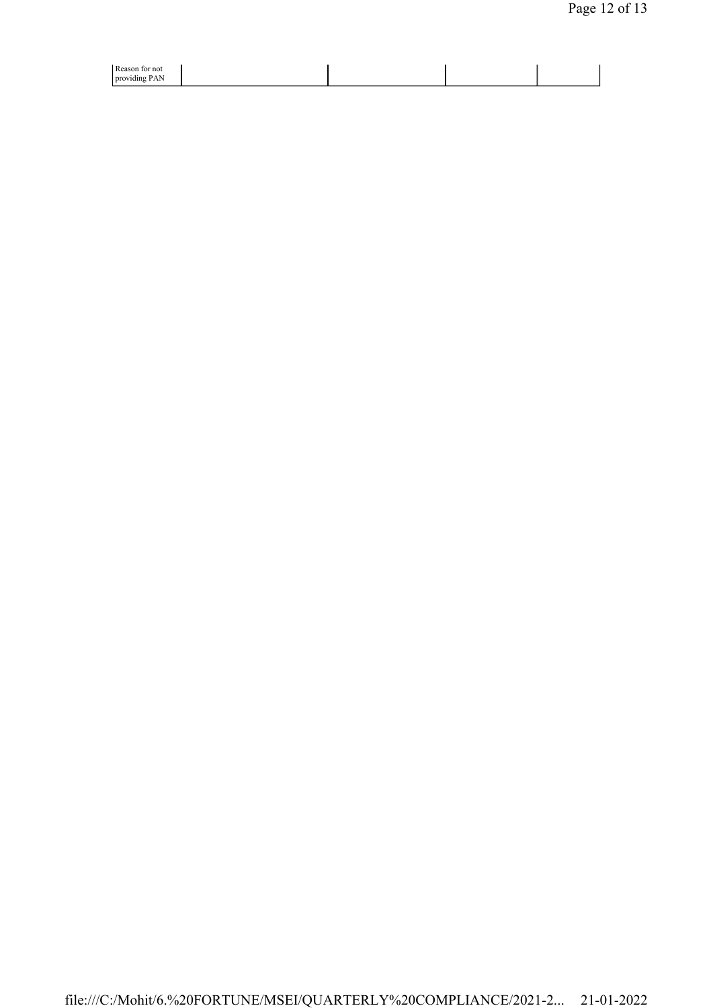| Ð<br>D. one<br>not                               |  |  |
|--------------------------------------------------|--|--|
| .<br>dın<br><b>prov</b><br>7. VIII 2<br>$\cdots$ |  |  |